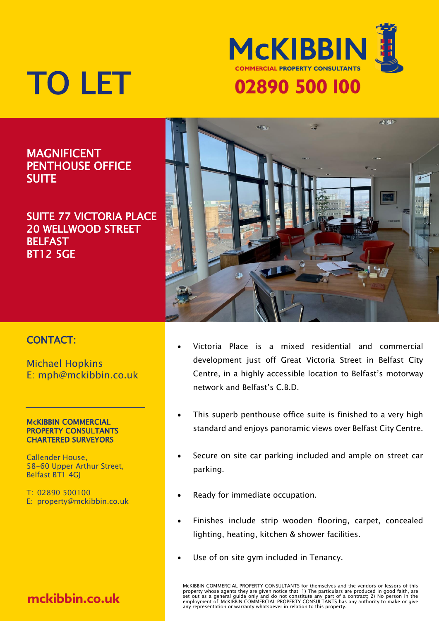

# TO LET

## MAGNIFICENT PENTHOUSE OFFICE **SUITE**

### SUITE 77 VICTORIA PLACE 20 WELLWOOD STREET **BELFAST** BT12 5GE



### CONTACT:

Michael Hopkins E: mph@mckibbin.co.uk

#### McKIBBIN COMMERCIAL PROPERTY CONSULTANTS CHARTERED SURVEYORS

Callender House, 58-60 Upper Arthur Street, Belfast BT1 4GJ

T: 02890 500100 E: property@mckibbin.co.uk

# mckibbin.co.uk

- Victoria Place is a mixed residential and commercial development just off Great Victoria Street in Belfast City Centre, in a highly accessible location to Belfast's motorway network and Belfast's C.B.D.
- This superb penthouse office suite is finished to a very high standard and enjoys panoramic views over Belfast City Centre.
- Secure on site car parking included and ample on street car parking.
- Ready for immediate occupation.
- Finishes include strip wooden flooring, carpet, concealed lighting, heating, kitchen & shower facilities.
- Use of on site gym included in Tenancy.

McKIBBIN COMMERCIAL PROPERTY CONSULTANTS for themselves and the vendors or lessors of this property whose agents they are given notice that: 1) The particulars are produced in good faith, are<br>set out as a general guide only and do not constitute any part of a contract; 2) No person in the<br>employment of McKIBBIN